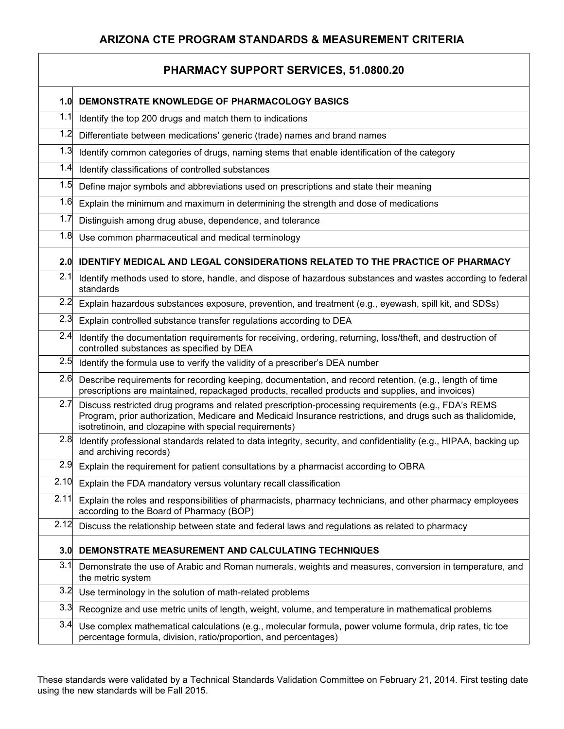| PHARMACY SUPPORT SERVICES, 51.0800.20 |                                                                                                                                                                                                                                                                             |  |
|---------------------------------------|-----------------------------------------------------------------------------------------------------------------------------------------------------------------------------------------------------------------------------------------------------------------------------|--|
| 1.0                                   | DEMONSTRATE KNOWLEDGE OF PHARMACOLOGY BASICS                                                                                                                                                                                                                                |  |
| 1.1                                   | Identify the top 200 drugs and match them to indications                                                                                                                                                                                                                    |  |
| 1.2                                   | Differentiate between medications' generic (trade) names and brand names                                                                                                                                                                                                    |  |
| 1.3                                   | Identify common categories of drugs, naming stems that enable identification of the category                                                                                                                                                                                |  |
| 1.4                                   | Identify classifications of controlled substances                                                                                                                                                                                                                           |  |
| 1.5                                   | Define major symbols and abbreviations used on prescriptions and state their meaning                                                                                                                                                                                        |  |
| 1.6                                   | Explain the minimum and maximum in determining the strength and dose of medications                                                                                                                                                                                         |  |
| 1.7                                   | Distinguish among drug abuse, dependence, and tolerance                                                                                                                                                                                                                     |  |
| 1.8                                   | Use common pharmaceutical and medical terminology                                                                                                                                                                                                                           |  |
| 2.0                                   | <b>IDENTIFY MEDICAL AND LEGAL CONSIDERATIONS RELATED TO THE PRACTICE OF PHARMACY</b>                                                                                                                                                                                        |  |
| 2.1                                   | Identify methods used to store, handle, and dispose of hazardous substances and wastes according to federal<br>standards                                                                                                                                                    |  |
| 2.2                                   | Explain hazardous substances exposure, prevention, and treatment (e.g., eyewash, spill kit, and SDSs)                                                                                                                                                                       |  |
| 2.3                                   | Explain controlled substance transfer regulations according to DEA                                                                                                                                                                                                          |  |
| 2.4                                   | Identify the documentation requirements for receiving, ordering, returning, loss/theft, and destruction of<br>controlled substances as specified by DEA                                                                                                                     |  |
| 2.5                                   | Identify the formula use to verify the validity of a prescriber's DEA number                                                                                                                                                                                                |  |
| 2.6                                   | Describe requirements for recording keeping, documentation, and record retention, (e.g., length of time<br>prescriptions are maintained, repackaged products, recalled products and supplies, and invoices)                                                                 |  |
| 2.7                                   | Discuss restricted drug programs and related prescription-processing requirements (e.g., FDA's REMS<br>Program, prior authorization, Medicare and Medicaid Insurance restrictions, and drugs such as thalidomide,<br>isotretinoin, and clozapine with special requirements) |  |
| 2.8                                   | Identify professional standards related to data integrity, security, and confidentiality (e.g., HIPAA, backing up<br>and archiving records)                                                                                                                                 |  |
| 2.9                                   | Explain the requirement for patient consultations by a pharmacist according to OBRA                                                                                                                                                                                         |  |
| 2.10                                  | Explain the FDA mandatory versus voluntary recall classification                                                                                                                                                                                                            |  |
| 2.11                                  | Explain the roles and responsibilities of pharmacists, pharmacy technicians, and other pharmacy employees<br>according to the Board of Pharmacy (BOP)                                                                                                                       |  |
| 2.12                                  | Discuss the relationship between state and federal laws and regulations as related to pharmacy                                                                                                                                                                              |  |
| 3.0                                   | DEMONSTRATE MEASUREMENT AND CALCULATING TECHNIQUES                                                                                                                                                                                                                          |  |
| 3.1                                   | Demonstrate the use of Arabic and Roman numerals, weights and measures, conversion in temperature, and<br>the metric system                                                                                                                                                 |  |
| 3.2                                   | Use terminology in the solution of math-related problems                                                                                                                                                                                                                    |  |
| 3.3                                   | Recognize and use metric units of length, weight, volume, and temperature in mathematical problems                                                                                                                                                                          |  |
| 3.4                                   | Use complex mathematical calculations (e.g., molecular formula, power volume formula, drip rates, tic toe<br>percentage formula, division, ratio/proportion, and percentages)                                                                                               |  |

These standards were validated by a Technical Standards Validation Committee on February 21, 2014. First testing date using the new standards will be Fall 2015.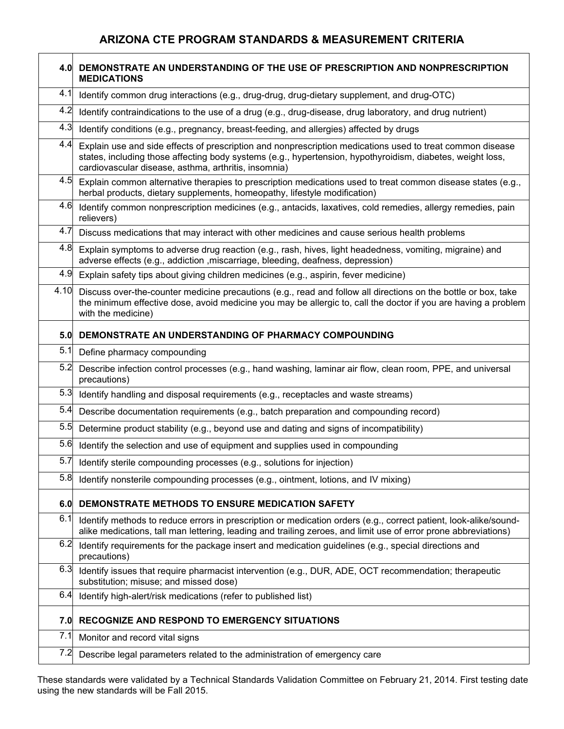|      | 4.0 DEMONSTRATE AN UNDERSTANDING OF THE USE OF PRESCRIPTION AND NONPRESCRIPTION<br><b>MEDICATIONS</b>                                                                                                                                                                           |
|------|---------------------------------------------------------------------------------------------------------------------------------------------------------------------------------------------------------------------------------------------------------------------------------|
| 4.1  | Identify common drug interactions (e.g., drug-drug, drug-dietary supplement, and drug-OTC)                                                                                                                                                                                      |
| 4.2  | Identify contraindications to the use of a drug (e.g., drug-disease, drug laboratory, and drug nutrient)                                                                                                                                                                        |
| 4.3  | Identify conditions (e.g., pregnancy, breast-feeding, and allergies) affected by drugs                                                                                                                                                                                          |
| 4.4  | Explain use and side effects of prescription and nonprescription medications used to treat common disease<br>states, including those affecting body systems (e.g., hypertension, hypothyroidism, diabetes, weight loss,<br>cardiovascular disease, asthma, arthritis, insomnia) |
| 4.5  | Explain common alternative therapies to prescription medications used to treat common disease states (e.g.,<br>herbal products, dietary supplements, homeopathy, lifestyle modification)                                                                                        |
| 4.6  | Identify common nonprescription medicines (e.g., antacids, laxatives, cold remedies, allergy remedies, pain<br>relievers)                                                                                                                                                       |
| 4.7  | Discuss medications that may interact with other medicines and cause serious health problems                                                                                                                                                                                    |
| 4.8  | Explain symptoms to adverse drug reaction (e.g., rash, hives, light headedness, vomiting, migraine) and<br>adverse effects (e.g., addiction , miscarriage, bleeding, deafness, depression)                                                                                      |
| 4.9  | Explain safety tips about giving children medicines (e.g., aspirin, fever medicine)                                                                                                                                                                                             |
| 4.10 | Discuss over-the-counter medicine precautions (e.g., read and follow all directions on the bottle or box, take<br>the minimum effective dose, avoid medicine you may be allergic to, call the doctor if you are having a problem<br>with the medicine)                          |
| 5.0  | DEMONSTRATE AN UNDERSTANDING OF PHARMACY COMPOUNDING                                                                                                                                                                                                                            |
| 5.1  | Define pharmacy compounding                                                                                                                                                                                                                                                     |
| 5.2  | Describe infection control processes (e.g., hand washing, laminar air flow, clean room, PPE, and universal<br>precautions)                                                                                                                                                      |
| 5.3  | Identify handling and disposal requirements (e.g., receptacles and waste streams)                                                                                                                                                                                               |
| 5.4  | Describe documentation requirements (e.g., batch preparation and compounding record)                                                                                                                                                                                            |
| 5.5  | Determine product stability (e.g., beyond use and dating and signs of incompatibility)                                                                                                                                                                                          |
| 5.6  | Identify the selection and use of equipment and supplies used in compounding                                                                                                                                                                                                    |
| 5.7  | Identify sterile compounding processes (e.g., solutions for injection)                                                                                                                                                                                                          |
| 5.8  | Identify nonsterile compounding processes (e.g., ointment, lotions, and IV mixing)                                                                                                                                                                                              |
| 6.0  | DEMONSTRATE METHODS TO ENSURE MEDICATION SAFETY                                                                                                                                                                                                                                 |
| 6.1  | Identify methods to reduce errors in prescription or medication orders (e.g., correct patient, look-alike/sound-<br>alike medications, tall man lettering, leading and trailing zeroes, and limit use of error prone abbreviations)                                             |
| 6.2  | Identify requirements for the package insert and medication guidelines (e.g., special directions and<br>precautions)                                                                                                                                                            |
| 6.3  | Identify issues that require pharmacist intervention (e.g., DUR, ADE, OCT recommendation; therapeutic<br>substitution; misuse; and missed dose)                                                                                                                                 |
| 6.4  | Identify high-alert/risk medications (refer to published list)                                                                                                                                                                                                                  |
| 7.0  | RECOGNIZE AND RESPOND TO EMERGENCY SITUATIONS                                                                                                                                                                                                                                   |
| 7.1  | Monitor and record vital signs                                                                                                                                                                                                                                                  |
| 7.2  | Describe legal parameters related to the administration of emergency care                                                                                                                                                                                                       |

These standards were validated by a Technical Standards Validation Committee on February 21, 2014. First testing date using the new standards will be Fall 2015.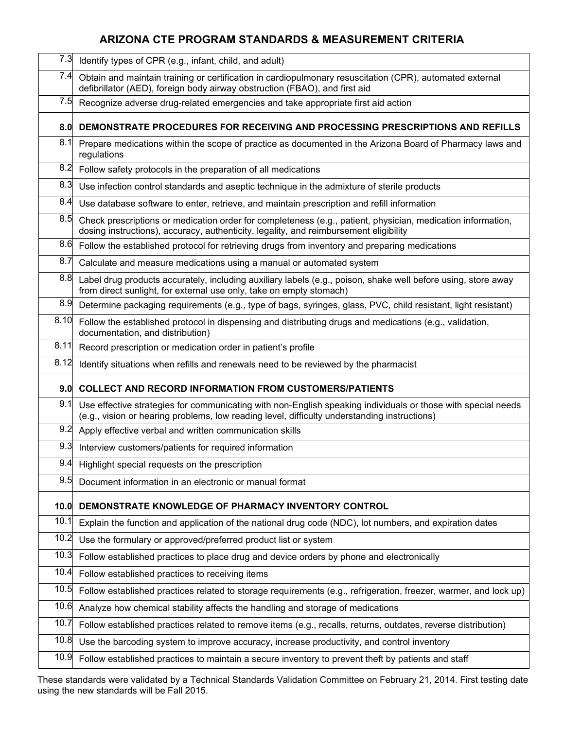| 7.3  | Identify types of CPR (e.g., infant, child, and adult)                                                                                                                                                       |
|------|--------------------------------------------------------------------------------------------------------------------------------------------------------------------------------------------------------------|
| 7.4  | Obtain and maintain training or certification in cardiopulmonary resuscitation (CPR), automated external<br>defibrillator (AED), foreign body airway obstruction (FBAO), and first aid                       |
| 7.5  | Recognize adverse drug-related emergencies and take appropriate first aid action                                                                                                                             |
| 8.0  | DEMONSTRATE PROCEDURES FOR RECEIVING AND PROCESSING PRESCRIPTIONS AND REFILLS                                                                                                                                |
| 8.1  | Prepare medications within the scope of practice as documented in the Arizona Board of Pharmacy laws and<br>regulations                                                                                      |
| 8.2  | Follow safety protocols in the preparation of all medications                                                                                                                                                |
| 8.3  | Use infection control standards and aseptic technique in the admixture of sterile products                                                                                                                   |
| 8.4  | Use database software to enter, retrieve, and maintain prescription and refill information                                                                                                                   |
| 8.5  | Check prescriptions or medication order for completeness (e.g., patient, physician, medication information,<br>dosing instructions), accuracy, authenticity, legality, and reimbursement eligibility         |
| 8.6  | Follow the established protocol for retrieving drugs from inventory and preparing medications                                                                                                                |
| 8.7  | Calculate and measure medications using a manual or automated system                                                                                                                                         |
| 8.8  | Label drug products accurately, including auxiliary labels (e.g., poison, shake well before using, store away<br>from direct sunlight, for external use only, take on empty stomach)                         |
| 8.9  | Determine packaging requirements (e.g., type of bags, syringes, glass, PVC, child resistant, light resistant)                                                                                                |
| 8.10 | Follow the established protocol in dispensing and distributing drugs and medications (e.g., validation,<br>documentation, and distribution)                                                                  |
| 8.11 | Record prescription or medication order in patient's profile                                                                                                                                                 |
| 8.12 | Identify situations when refills and renewals need to be reviewed by the pharmacist                                                                                                                          |
| 9.0  | <b>COLLECT AND RECORD INFORMATION FROM CUSTOMERS/PATIENTS</b>                                                                                                                                                |
| 9.1  | Use effective strategies for communicating with non-English speaking individuals or those with special needs<br>(e.g., vision or hearing problems, low reading level, difficulty understanding instructions) |
| 9.2  | Apply effective verbal and written communication skills                                                                                                                                                      |
| 9.3  | Interview customers/patients for required information                                                                                                                                                        |
| 9.4  | Highlight special requests on the prescription                                                                                                                                                               |
| 9.5  | Document information in an electronic or manual format                                                                                                                                                       |
| 10.0 | DEMONSTRATE KNOWLEDGE OF PHARMACY INVENTORY CONTROL                                                                                                                                                          |
| 10.1 | Explain the function and application of the national drug code (NDC), lot numbers, and expiration dates                                                                                                      |
| 10.2 | Use the formulary or approved/preferred product list or system                                                                                                                                               |
| 10.3 | Follow established practices to place drug and device orders by phone and electronically                                                                                                                     |
| 10.4 | Follow established practices to receiving items                                                                                                                                                              |
| 10.5 | Follow established practices related to storage requirements (e.g., refrigeration, freezer, warmer, and lock up)                                                                                             |
| 10.6 | Analyze how chemical stability affects the handling and storage of medications                                                                                                                               |
| 10.7 | Follow established practices related to remove items (e.g., recalls, returns, outdates, reverse distribution)                                                                                                |
| 10.8 | Use the barcoding system to improve accuracy, increase productivity, and control inventory                                                                                                                   |
| 10.9 | Follow established practices to maintain a secure inventory to prevent theft by patients and staff                                                                                                           |

These standards were validated by a Technical Standards Validation Committee on February 21, 2014. First testing date using the new standards will be Fall 2015.